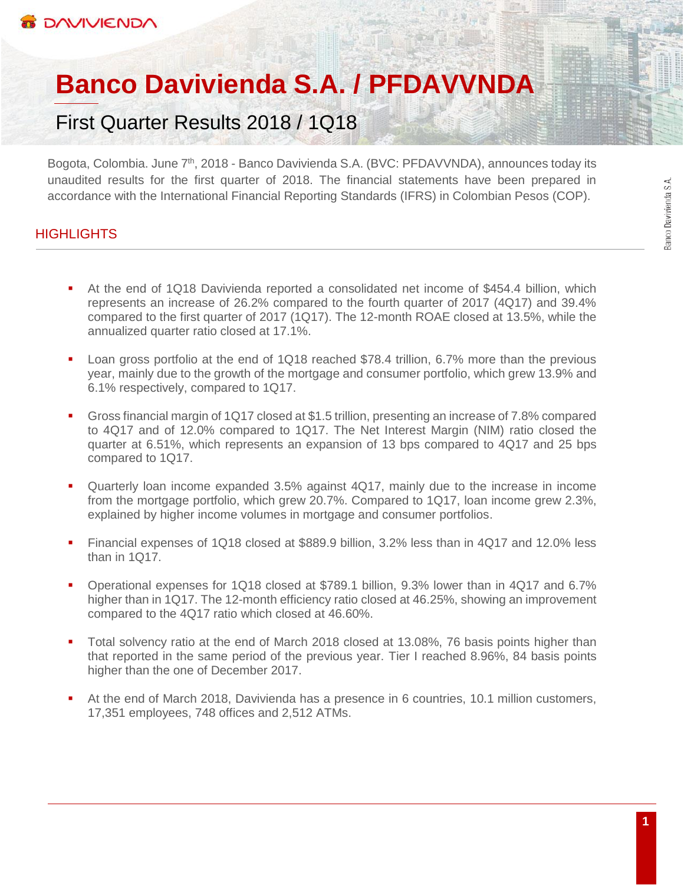# **Banco Davivienda S.A. / PFDAVVNDA**

# First Quarter Results 2018 / 1Q18

Bogota, Colombia. June 7<sup>th</sup>, 2018 - Banco Davivienda S.A. (BVC: PFDAVVNDA), announces today its unaudited results for the first quarter of 2018. The financial statements have been prepared in accordance with the International Financial Reporting Standards (IFRS) in Colombian Pesos (COP).

# **HIGHLIGHTS**

- At the end of 1Q18 Davivienda reported a consolidated net income of \$454.4 billion, which represents an increase of 26.2% compared to the fourth quarter of 2017 (4Q17) and 39.4% compared to the first quarter of 2017 (1Q17). The 12-month ROAE closed at 13.5%, while the annualized quarter ratio closed at 17.1%.
- Loan gross portfolio at the end of 1Q18 reached \$78.4 trillion, 6.7% more than the previous year, mainly due to the growth of the mortgage and consumer portfolio, which grew 13.9% and 6.1% respectively, compared to 1Q17.
- Gross financial margin of 1Q17 closed at \$1.5 trillion, presenting an increase of 7.8% compared to 4Q17 and of 12.0% compared to 1Q17. The Net Interest Margin (NIM) ratio closed the quarter at 6.51%, which represents an expansion of 13 bps compared to 4Q17 and 25 bps compared to 1Q17.
- Quarterly loan income expanded 3.5% against 4Q17, mainly due to the increase in income from the mortgage portfolio, which grew 20.7%. Compared to 1Q17, loan income grew 2.3%, explained by higher income volumes in mortgage and consumer portfolios.
- Financial expenses of 1Q18 closed at \$889.9 billion, 3.2% less than in 4Q17 and 12.0% less than in 1Q17.
- Operational expenses for 1Q18 closed at \$789.1 billion, 9.3% lower than in 4Q17 and 6.7% higher than in 1Q17. The 12-month efficiency ratio closed at 46.25%, showing an improvement compared to the 4Q17 ratio which closed at 46.60%.
- Total solvency ratio at the end of March 2018 closed at 13.08%, 76 basis points higher than that reported in the same period of the previous year. Tier I reached 8.96%, 84 basis points higher than the one of December 2017.
- At the end of March 2018, Davivienda has a presence in 6 countries, 10.1 million customers, 17,351 employees, 748 offices and 2,512 ATMs.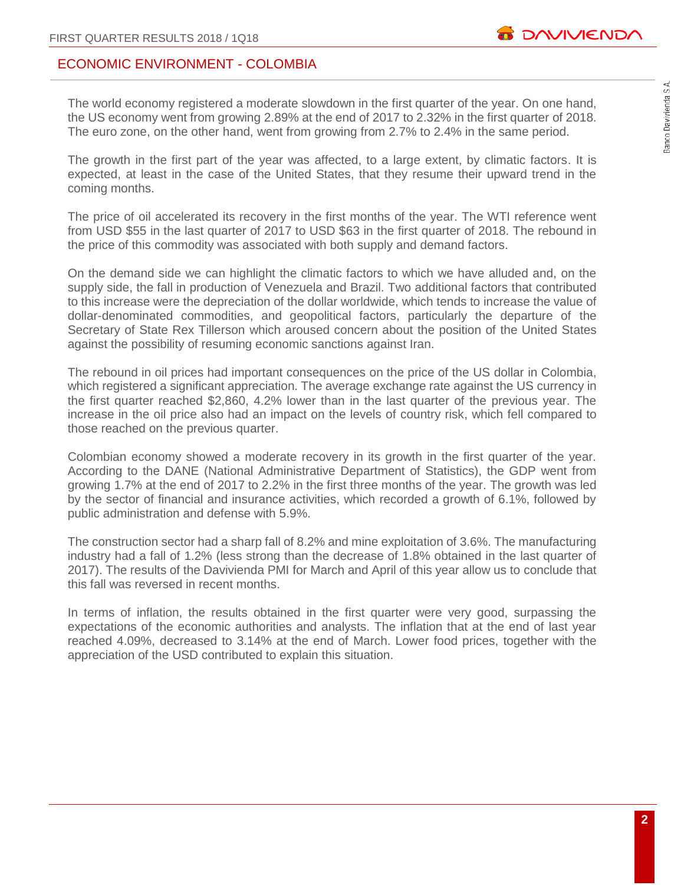## ECONOMIC ENVIRONMENT - COLOMBIA

The world economy registered a moderate slowdown in the first quarter of the year. On one hand, the US economy went from growing 2.89% at the end of 2017 to 2.32% in the first quarter of 2018. The euro zone, on the other hand, went from growing from 2.7% to 2.4% in the same period.

The growth in the first part of the year was affected, to a large extent, by climatic factors. It is expected, at least in the case of the United States, that they resume their upward trend in the coming months.

The price of oil accelerated its recovery in the first months of the year. The WTI reference went from USD \$55 in the last quarter of 2017 to USD \$63 in the first quarter of 2018. The rebound in the price of this commodity was associated with both supply and demand factors.

On the demand side we can highlight the climatic factors to which we have alluded and, on the supply side, the fall in production of Venezuela and Brazil. Two additional factors that contributed to this increase were the depreciation of the dollar worldwide, which tends to increase the value of dollar-denominated commodities, and geopolitical factors, particularly the departure of the Secretary of State Rex Tillerson which aroused concern about the position of the United States against the possibility of resuming economic sanctions against Iran.

The rebound in oil prices had important consequences on the price of the US dollar in Colombia, which registered a significant appreciation. The average exchange rate against the US currency in the first quarter reached \$2,860, 4.2% lower than in the last quarter of the previous year. The increase in the oil price also had an impact on the levels of country risk, which fell compared to those reached on the previous quarter.

Colombian economy showed a moderate recovery in its growth in the first quarter of the year. According to the DANE (National Administrative Department of Statistics), the GDP went from growing 1.7% at the end of 2017 to 2.2% in the first three months of the year. The growth was led by the sector of financial and insurance activities, which recorded a growth of 6.1%, followed by public administration and defense with 5.9%.

The construction sector had a sharp fall of 8.2% and mine exploitation of 3.6%. The manufacturing industry had a fall of 1.2% (less strong than the decrease of 1.8% obtained in the last quarter of 2017). The results of the Davivienda PMI for March and April of this year allow us to conclude that this fall was reversed in recent months.

In terms of inflation, the results obtained in the first quarter were very good, surpassing the expectations of the economic authorities and analysts. The inflation that at the end of last year reached 4.09%, decreased to 3.14% at the end of March. Lower food prices, together with the appreciation of the USD contributed to explain this situation.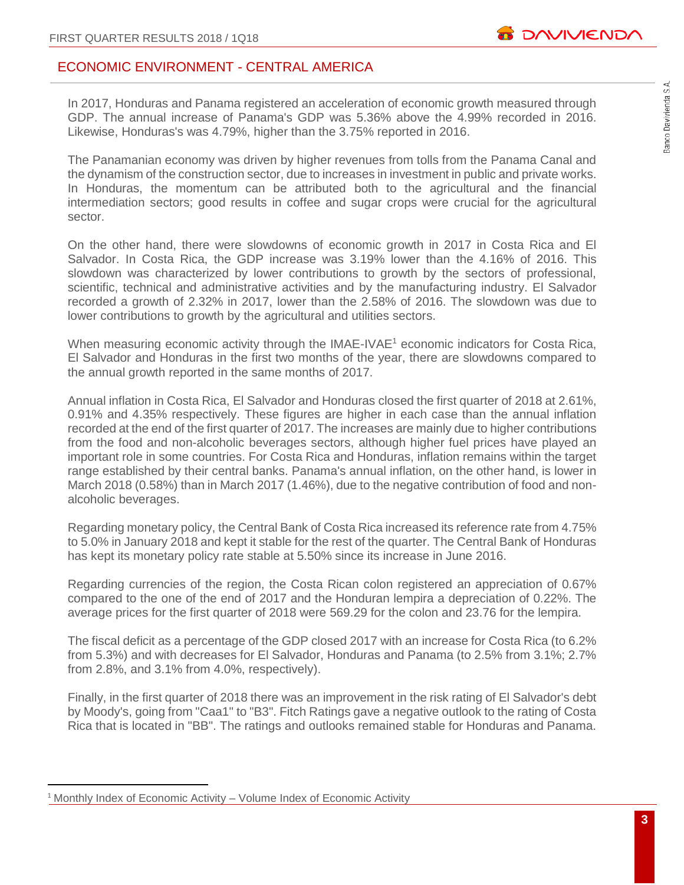# ECONOMIC ENVIRONMENT - CENTRAL AMERICA

In 2017, Honduras and Panama registered an acceleration of economic growth measured through GDP. The annual increase of Panama's GDP was 5.36% above the 4.99% recorded in 2016. Likewise, Honduras's was 4.79%, higher than the 3.75% reported in 2016.

The Panamanian economy was driven by higher revenues from tolls from the Panama Canal and the dynamism of the construction sector, due to increases in investment in public and private works. In Honduras, the momentum can be attributed both to the agricultural and the financial intermediation sectors; good results in coffee and sugar crops were crucial for the agricultural sector.

On the other hand, there were slowdowns of economic growth in 2017 in Costa Rica and El Salvador. In Costa Rica, the GDP increase was 3.19% lower than the 4.16% of 2016. This slowdown was characterized by lower contributions to growth by the sectors of professional, scientific, technical and administrative activities and by the manufacturing industry. El Salvador recorded a growth of 2.32% in 2017, lower than the 2.58% of 2016. The slowdown was due to lower contributions to growth by the agricultural and utilities sectors.

When measuring economic activity through the IMAE-IVAE<sup>1</sup> economic indicators for Costa Rica, El Salvador and Honduras in the first two months of the year, there are slowdowns compared to the annual growth reported in the same months of 2017.

Annual inflation in Costa Rica, El Salvador and Honduras closed the first quarter of 2018 at 2.61%, 0.91% and 4.35% respectively. These figures are higher in each case than the annual inflation recorded at the end of the first quarter of 2017. The increases are mainly due to higher contributions from the food and non-alcoholic beverages sectors, although higher fuel prices have played an important role in some countries. For Costa Rica and Honduras, inflation remains within the target range established by their central banks. Panama's annual inflation, on the other hand, is lower in March 2018 (0.58%) than in March 2017 (1.46%), due to the negative contribution of food and nonalcoholic beverages.

Regarding monetary policy, the Central Bank of Costa Rica increased its reference rate from 4.75% to 5.0% in January 2018 and kept it stable for the rest of the quarter. The Central Bank of Honduras has kept its monetary policy rate stable at 5.50% since its increase in June 2016.

Regarding currencies of the region, the Costa Rican colon registered an appreciation of 0.67% compared to the one of the end of 2017 and the Honduran lempira a depreciation of 0.22%. The average prices for the first quarter of 2018 were 569.29 for the colon and 23.76 for the lempira.

The fiscal deficit as a percentage of the GDP closed 2017 with an increase for Costa Rica (to 6.2% from 5.3%) and with decreases for El Salvador, Honduras and Panama (to 2.5% from 3.1%; 2.7% from 2.8%, and 3.1% from 4.0%, respectively).

Finally, in the first quarter of 2018 there was an improvement in the risk rating of El Salvador's debt by Moody's, going from "Caa1" to "B3". Fitch Ratings gave a negative outlook to the rating of Costa Rica that is located in "BB". The ratings and outlooks remained stable for Honduras and Panama.

 $\overline{a}$ 

 $1$  Monthly Index of Economic Activity – Volume Index of Economic Activity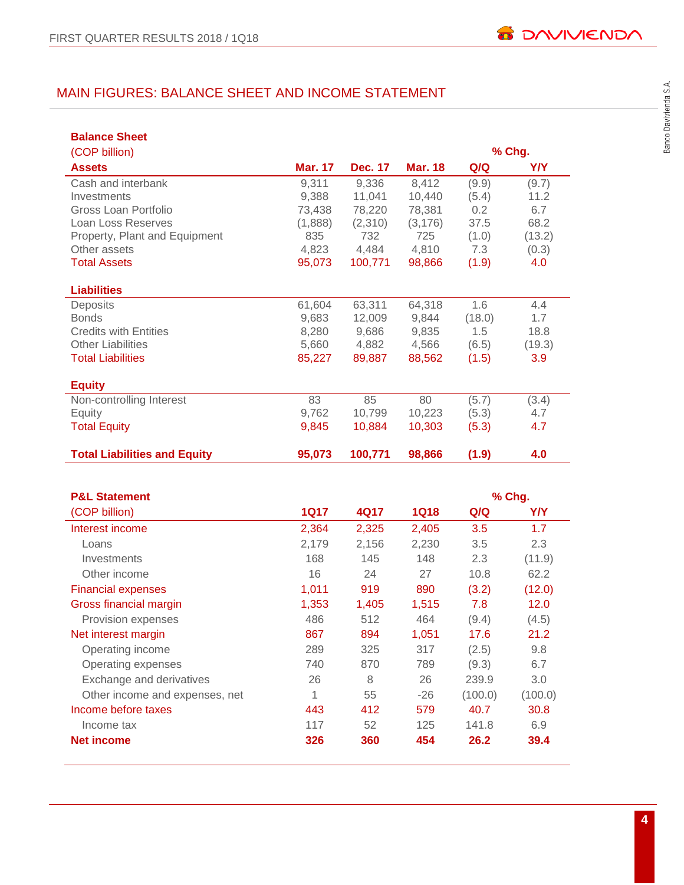# MAIN FIGURES: BALANCE SHEET AND INCOME STATEMENT

| <b>Balance Sheet</b>                                 |                 |                  |                 |                |               |
|------------------------------------------------------|-----------------|------------------|-----------------|----------------|---------------|
| (COP billion)                                        |                 |                  |                 |                | % Chg.        |
| <b>Assets</b>                                        | <b>Mar. 17</b>  | <b>Dec. 17</b>   | <b>Mar. 18</b>  | Q/Q            | Y/Y           |
| Cash and interbank                                   | 9,311           | 9,336            | 8,412           | (9.9)          | (9.7)         |
| Investments                                          | 9,388           | 11,041           | 10,440          | (5.4)          | 11.2          |
| Gross Loan Portfolio                                 | 73,438          | 78,220           | 78,381          | 0.2            | 6.7           |
| Loan Loss Reserves                                   | (1,888)         | (2,310)          | (3, 176)        | 37.5           | 68.2          |
| Property, Plant and Equipment                        | 835             | 732              | 725             | (1.0)          | (13.2)        |
| Other assets<br><b>Total Assets</b>                  | 4,823<br>95,073 | 4,484<br>100,771 | 4,810<br>98,866 | 7.3<br>(1.9)   | (0.3)<br>4.0  |
|                                                      |                 |                  |                 |                |               |
| <b>Liabilities</b>                                   |                 |                  |                 |                |               |
| Deposits                                             | 61,604          | 63,311           | 64,318          | 1.6            | 4.4           |
| <b>Bonds</b>                                         | 9,683           | 12,009           | 9,844           | (18.0)         | 1.7           |
| <b>Credits with Entities</b>                         | 8,280           | 9,686            | 9,835           | 1.5            | 18.8          |
| <b>Other Liabilities</b><br><b>Total Liabilities</b> | 5,660<br>85,227 | 4,882<br>89,887  | 4,566<br>88,562 | (6.5)<br>(1.5) | (19.3)<br>3.9 |
|                                                      |                 |                  |                 |                |               |
| <b>Equity</b>                                        |                 |                  |                 |                |               |
| Non-controlling Interest                             | 83              | 85               | 80              | (5.7)          | (3.4)         |
| Equity                                               | 9,762           | 10,799           | 10,223          | (5.3)          | 4.7           |
| <b>Total Equity</b>                                  | 9,845           | 10,884           | 10,303          | (5.3)          | 4.7           |
| <b>Total Liabilities and Equity</b>                  | 95,073          | 100,771          | 98,866          | (1.9)          | 4.0           |
|                                                      |                 |                  |                 |                |               |
| <b>P&amp;L Statement</b>                             |                 |                  |                 |                | % Chg.        |
| (COP billion)                                        | <b>1Q17</b>     | 4Q17             | <b>1Q18</b>     | Q/Q            | Y/Y           |
| Interest income                                      | 2,364           | 2,325            | 2,405           | 3.5            | 1.7           |
| Loans                                                | 2,179           | 2,156            | 2,230           | 3.5            | 2.3           |
| Investments                                          | 168             |                  | 148             | 2.3            | (11.9)        |
| Other income                                         |                 | 145              |                 |                |               |
|                                                      | 16              | 24               | 27              | 10.8           | 62.2          |
| <b>Financial expenses</b>                            | 1,011           | 919              | 890             | (3.2)          | (12.0)        |
| Gross financial margin                               | 1,353           | 1,405            | 1,515           | 7.8            | 12.0          |
| Provision expenses                                   | 486             | 512              | 464             | (9.4)          | (4.5)         |
| Net interest margin                                  | 867             | 894              | 1,051           | 17.6           | 21.2          |
| Operating income                                     | 289             | 325              | 317             | (2.5)          | 9.8           |
| Operating expenses                                   | 740             | 870              | 789             | (9.3)          | 6.7           |
| Exchange and derivatives                             | 26              | 8                | 26              | 239.9          | 3.0           |
| Other income and expenses, net                       | 1               | 55               | $-26$           | (100.0)        | (100.0)       |
| Income before taxes                                  | 443             | 412              | 579             | 40.7           | 30.8          |
| Income tax                                           | 117             | 52               | 125             | 141.8          | 6.9           |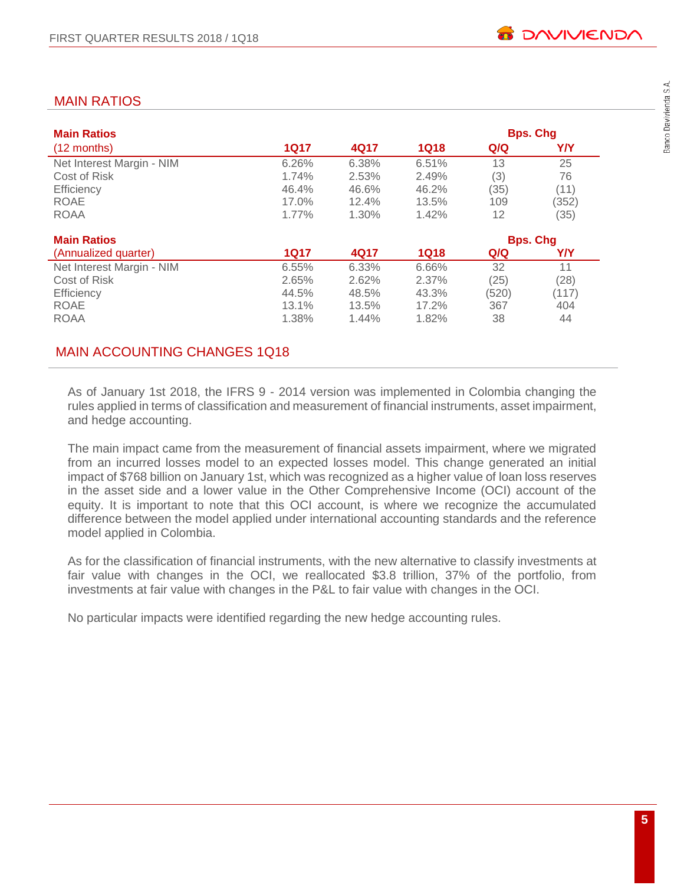# MAIN RATIOS

| <b>Main Ratios</b>        |             |       |             |       | <b>Bps. Chg</b> |
|---------------------------|-------------|-------|-------------|-------|-----------------|
| $(12$ months)             | 1Q17        | 4Q17  | <b>1Q18</b> | Q/Q   | Y/Y             |
| Net Interest Margin - NIM | 6.26%       | 6.38% | 6.51%       | 13    | 25              |
| Cost of Risk              | 1.74%       | 2.53% | 2.49%       | (3)   | 76              |
| <b>Efficiency</b>         | 46.4%       | 46.6% | 46.2%       | (35)  | (11)            |
| <b>ROAE</b>               | 17.0%       | 12.4% | 13.5%       | 109   | (352)           |
| <b>ROAA</b>               | 1.77%       | 1.30% | 1.42%       | 12    | (35)            |
| <b>Main Ratios</b>        |             |       |             |       | <b>Bps. Chg</b> |
| (Annualized quarter)      | <b>1Q17</b> | 4Q17  | <b>1Q18</b> | Q/Q   | Y/Y             |
| Net Interest Margin - NIM | 6.55%       | 6.33% | 6.66%       | 32    | 11              |
| Cost of Risk              | 2.65%       | 2.62% | 2.37%       | (25)  | (28)            |
| Efficiency                | 44.5%       | 48.5% | 43.3%       | (520) | (117)           |
| <b>ROAE</b>               | 13.1%       | 13.5% | 17.2%       | 367   | 404             |
| <b>ROAA</b>               | 1.38%       | 1.44% | 1.82%       | 38    | 44              |

# MAIN ACCOUNTING CHANGES 1Q18

As of January 1st 2018, the IFRS 9 - 2014 version was implemented in Colombia changing the rules applied in terms of classification and measurement of financial instruments, asset impairment, and hedge accounting.

The main impact came from the measurement of financial assets impairment, where we migrated from an incurred losses model to an expected losses model. This change generated an initial impact of \$768 billion on January 1st, which was recognized as a higher value of loan loss reserves in the asset side and a lower value in the Other Comprehensive Income (OCI) account of the equity. It is important to note that this OCI account, is where we recognize the accumulated difference between the model applied under international accounting standards and the reference model applied in Colombia.

As for the classification of financial instruments, with the new alternative to classify investments at fair value with changes in the OCI, we reallocated \$3.8 trillion, 37% of the portfolio, from investments at fair value with changes in the P&L to fair value with changes in the OCI.

No particular impacts were identified regarding the new hedge accounting rules.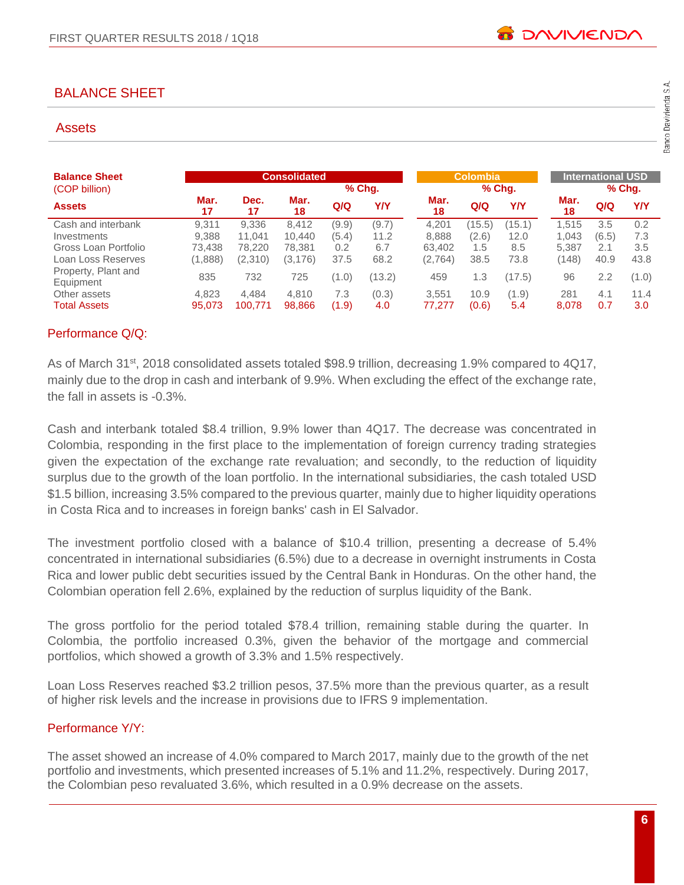# BALANCE SHEET

#### **Assets**

| <b>Balance Sheet</b>             |            |            | <b>Consolidated</b> |       |        |            | <b>Colombia</b> |        |            | <b>International USD</b> |            |
|----------------------------------|------------|------------|---------------------|-------|--------|------------|-----------------|--------|------------|--------------------------|------------|
| (COP billion)                    |            |            |                     |       | % Chq. |            |                 | % Chq. |            |                          | % Chg.     |
| <b>Assets</b>                    | Mar.<br>17 | Dec.<br>17 | Mar.<br>18          | Q/Q   | Y/Y    | Mar.<br>18 | Q/Q             | Y/Y    | Mar.<br>18 | Q/Q                      | <b>Y/Y</b> |
| Cash and interbank               | 9.311      | 9,336      | 8.412               | (9.9) | (9.7)  | 4.201      | (15.5)          | (15.1) | 1.515      | 3.5                      | 0.2        |
| Investments                      | 9.388      | 11.041     | 10.440              | (5.4) | 11.2   | 8.888      | (2.6)           | 12.0   | 1.043      | (6.5)                    | 7.3        |
| Gross Loan Portfolio             | 73.438     | 78.220     | 78.381              | 0.2   | 6.7    | 63.402     | 1.5             | 8.5    | 5.387      | 2.1                      | 3.5        |
| Loan Loss Reserves               | (1,888)    | (2,310)    | (3, 176)            | 37.5  | 68.2   | (2,764)    | 38.5            | 73.8   | (148)      | 40.9                     | 43.8       |
| Property, Plant and<br>Equipment | 835        | 732        | 725                 | (1.0) | (13.2) | 459        | 1.3             | (17.5) | 96         | 2.2                      | (1.0)      |
| Other assets                     | 4,823      | 4.484      | 4.810               | 7.3   | (0.3)  | 3.551      | 10.9            | (1.9)  | 281        | 4.1                      | 11.4       |
| <b>Total Assets</b>              | 95.073     | 100,771    | 98,866              | (1.9) | 4.0    | 77.277     | (0.6)           | 5.4    | 8,078      | 0.7                      | 3.0        |

#### Performance Q/Q:

As of March 31<sup>st</sup>, 2018 consolidated assets totaled \$98.9 trillion, decreasing 1.9% compared to 4Q17, mainly due to the drop in cash and interbank of 9.9%. When excluding the effect of the exchange rate, the fall in assets is -0.3%.

Cash and interbank totaled \$8.4 trillion, 9.9% lower than 4Q17. The decrease was concentrated in Colombia, responding in the first place to the implementation of foreign currency trading strategies given the expectation of the exchange rate revaluation; and secondly, to the reduction of liquidity surplus due to the growth of the loan portfolio. In the international subsidiaries, the cash totaled USD \$1.5 billion, increasing 3.5% compared to the previous quarter, mainly due to higher liquidity operations in Costa Rica and to increases in foreign banks' cash in El Salvador.

The investment portfolio closed with a balance of \$10.4 trillion, presenting a decrease of 5.4% concentrated in international subsidiaries (6.5%) due to a decrease in overnight instruments in Costa Rica and lower public debt securities issued by the Central Bank in Honduras. On the other hand, the Colombian operation fell 2.6%, explained by the reduction of surplus liquidity of the Bank.

The gross portfolio for the period totaled \$78.4 trillion, remaining stable during the quarter. In Colombia, the portfolio increased 0.3%, given the behavior of the mortgage and commercial portfolios, which showed a growth of 3.3% and 1.5% respectively.

Loan Loss Reserves reached \$3.2 trillion pesos, 37.5% more than the previous quarter, as a result of higher risk levels and the increase in provisions due to IFRS 9 implementation.

#### Performance Y/Y:

The asset showed an increase of 4.0% compared to March 2017, mainly due to the growth of the net portfolio and investments, which presented increases of 5.1% and 11.2%, respectively. During 2017, the Colombian peso revaluated 3.6%, which resulted in a 0.9% decrease on the assets.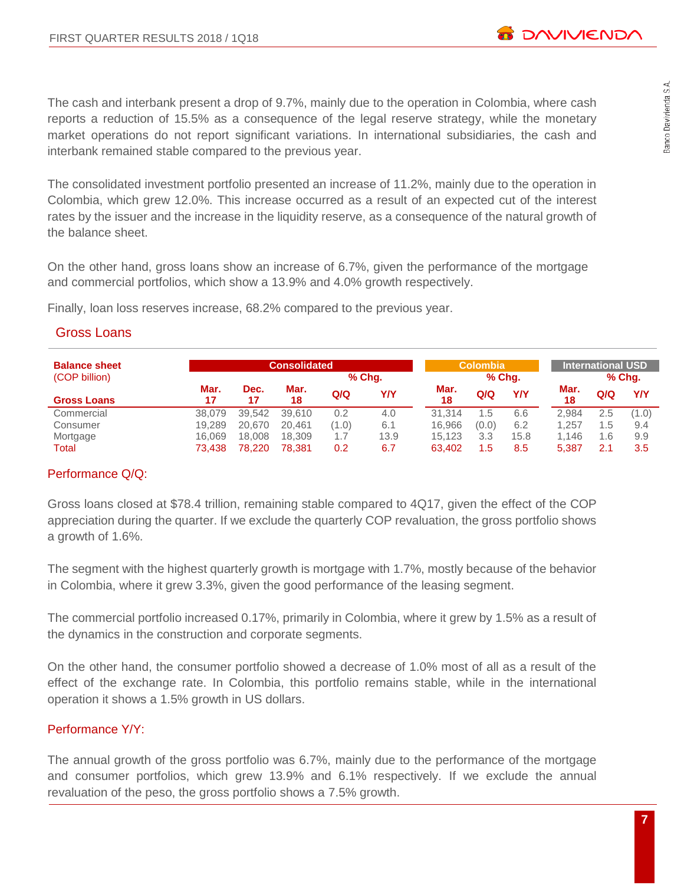The cash and interbank present a drop of 9.7%, mainly due to the operation in Colombia, where cash reports a reduction of 15.5% as a consequence of the legal reserve strategy, while the monetary market operations do not report significant variations. In international subsidiaries, the cash and interbank remained stable compared to the previous year.

The consolidated investment portfolio presented an increase of 11.2%, mainly due to the operation in Colombia, which grew 12.0%. This increase occurred as a result of an expected cut of the interest rates by the issuer and the increase in the liquidity reserve, as a consequence of the natural growth of the balance sheet.

On the other hand, gross loans show an increase of 6.7%, given the performance of the mortgage and commercial portfolios, which show a 13.9% and 4.0% growth respectively.

Finally, loan loss reserves increase, 68.2% compared to the previous year.

| <b>Balance sheet</b> |            | <b>Consolidated</b> |            |       |        | <b>Colombia</b> |        |      | International USD |        |       |
|----------------------|------------|---------------------|------------|-------|--------|-----------------|--------|------|-------------------|--------|-------|
| (COP billion)        |            |                     |            |       | % Chq. |                 | % Chq. |      |                   | % Chq. |       |
| <b>Gross Loans</b>   | Mar.<br>17 | Dec.<br>17          | Mar.<br>18 | Q/Q   | Y/Y    | Mar.<br>18      | Q/Q    | YN   | Mar.<br>18        | Q/Q    | Y/Y   |
| Commercial           | 38,079     | 39.542              | 39.610     | 0.2   | 4.0    | 31.314          | 1.5    | 6.6  | 2.984             | 2.5    | (1.0) |
| Consumer             | 19.289     | 20.670              | 20.461     | (1.0) | 6.1    | 16.966          | (0.0)  | 6.2  | .257              | 1.5    | 9.4   |
| Mortgage             | 16.069     | 18,008              | 18,309     | 1.7   | 13.9   | 15.123          | 3.3    | 15.8 | 1.146             | 1.6    | 9.9   |
| Total                | 73.438     | 78.220              | 78.381     | 0.2   | 6.7    | 63.402          | 1.5    | 8.5  | 5,387             | 2.1    | 3.5   |

#### Gross Loans

#### Performance Q/Q:

Gross loans closed at \$78.4 trillion, remaining stable compared to 4Q17, given the effect of the COP appreciation during the quarter. If we exclude the quarterly COP revaluation, the gross portfolio shows a growth of 1.6%.

The segment with the highest quarterly growth is mortgage with 1.7%, mostly because of the behavior in Colombia, where it grew 3.3%, given the good performance of the leasing segment.

The commercial portfolio increased 0.17%, primarily in Colombia, where it grew by 1.5% as a result of the dynamics in the construction and corporate segments.

On the other hand, the consumer portfolio showed a decrease of 1.0% most of all as a result of the effect of the exchange rate. In Colombia, this portfolio remains stable, while in the international operation it shows a 1.5% growth in US dollars.

#### Performance Y/Y:

The annual growth of the gross portfolio was 6.7%, mainly due to the performance of the mortgage and consumer portfolios, which grew 13.9% and 6.1% respectively. If we exclude the annual revaluation of the peso, the gross portfolio shows a 7.5% growth.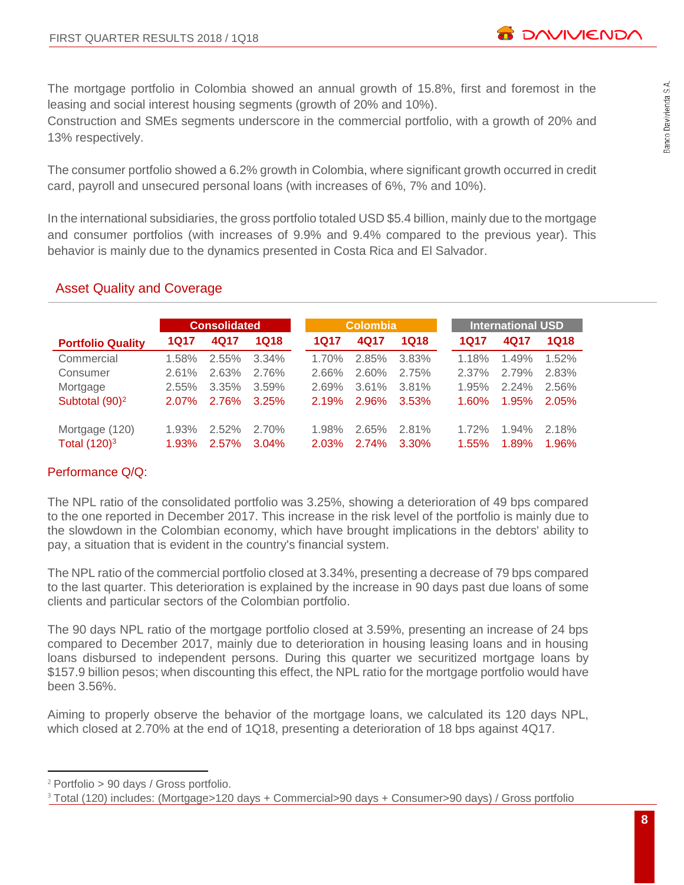The mortgage portfolio in Colombia showed an annual growth of 15.8%, first and foremost in the leasing and social interest housing segments (growth of 20% and 10%).

Construction and SMEs segments underscore in the commercial portfolio, with a growth of 20% and 13% respectively.

The consumer portfolio showed a 6.2% growth in Colombia, where significant growth occurred in credit card, payroll and unsecured personal loans (with increases of 6%, 7% and 10%).

In the international subsidiaries, the gross portfolio totaled USD \$5.4 billion, mainly due to the mortgage and consumer portfolios (with increases of 9.9% and 9.4% compared to the previous year). This behavior is mainly due to the dynamics presented in Costa Rica and El Salvador.

#### Asset Quality and Coverage

|                            |          | <b>Consolidated</b> |       |  | <b>Colombia</b> |       |       |          | <b>International USD</b> |       |
|----------------------------|----------|---------------------|-------|--|-----------------|-------|-------|----------|--------------------------|-------|
| <b>Portfolio Quality</b>   | 1Q17     | 4Q17                | 1Q18  |  | 1Q17            | 4Q17  | 1Q18  | 1Q17     | 4Q17                     | 1Q18  |
| Commercial                 | 1.58%    | 2.55%               | 3.34% |  | 1.70%           | 2.85% | 3.83% | 1.18%    | 1.49%                    | 1.52% |
| Consumer                   | 2.61%    | 2.63%               | 2.76% |  | 2.66%           | 2.60% | 2.75% | $2.37\%$ | 2.79%                    | 2.83% |
| Mortgage                   | $2.55\%$ | 3.35%               | 3.59% |  | 2.69%           | 3.61% | 3.81% | 1.95%    | 2.24%                    | 2.56% |
| Subtotal (90) <sup>2</sup> | $2.07\%$ | 2.76%               | 3.25% |  | 2.19%           | 2.96% | 3.53% | $1.60\%$ | 1.95%                    | 2.05% |
| Mortgage (120)             | $1.93\%$ | 2.52%               | 2.70% |  | 1.98%           | 2.65% | 2.81% | 1.72%    | 1.94%                    | 2.18% |
| Total $(120)^3$            | 1.93%    | 2.57%               | 3.04% |  | $2.03\%$        | 2.74% | 3.30% | $1.55\%$ | 1.89%                    | 1.96% |

#### Performance Q/Q:

The NPL ratio of the consolidated portfolio was 3.25%, showing a deterioration of 49 bps compared to the one reported in December 2017. This increase in the risk level of the portfolio is mainly due to the slowdown in the Colombian economy, which have brought implications in the debtors' ability to pay, a situation that is evident in the country's financial system.

The NPL ratio of the commercial portfolio closed at 3.34%, presenting a decrease of 79 bps compared to the last quarter. This deterioration is explained by the increase in 90 days past due loans of some clients and particular sectors of the Colombian portfolio.

The 90 days NPL ratio of the mortgage portfolio closed at 3.59%, presenting an increase of 24 bps compared to December 2017, mainly due to deterioration in housing leasing loans and in housing loans disbursed to independent persons. During this quarter we securitized mortgage loans by \$157.9 billion pesos; when discounting this effect, the NPL ratio for the mortgage portfolio would have been 3.56%.

Aiming to properly observe the behavior of the mortgage loans, we calculated its 120 days NPL, which closed at 2.70% at the end of 1Q18, presenting a deterioration of 18 bps against 4Q17.

 $\overline{a}$ 

<sup>2</sup> Portfolio > 90 days / Gross portfolio.

<sup>&</sup>lt;sup>3</sup> Total (120) includes: (Mortgage>120 days + Commercial>90 days + Consumer>90 days) / Gross portfolio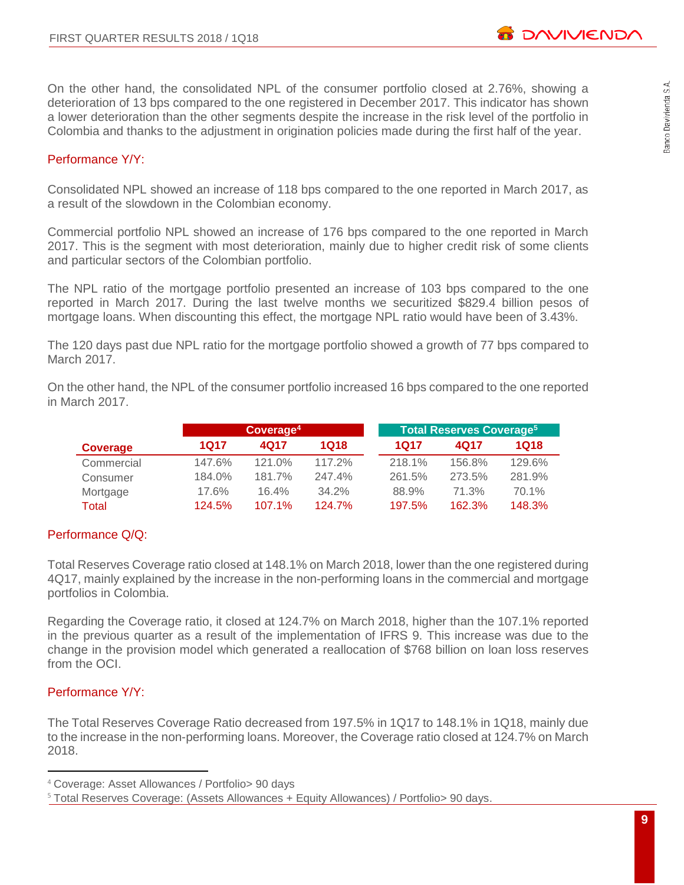On the other hand, the consolidated NPL of the consumer portfolio closed at 2.76%, showing a deterioration of 13 bps compared to the one registered in December 2017. This indicator has shown a lower deterioration than the other segments despite the increase in the risk level of the portfolio in Colombia and thanks to the adjustment in origination policies made during the first half of the year.

#### Performance Y/Y:

Consolidated NPL showed an increase of 118 bps compared to the one reported in March 2017, as a result of the slowdown in the Colombian economy.

Commercial portfolio NPL showed an increase of 176 bps compared to the one reported in March 2017. This is the segment with most deterioration, mainly due to higher credit risk of some clients and particular sectors of the Colombian portfolio.

The NPL ratio of the mortgage portfolio presented an increase of 103 bps compared to the one reported in March 2017. During the last twelve months we securitized \$829.4 billion pesos of mortgage loans. When discounting this effect, the mortgage NPL ratio would have been of 3.43%.

The 120 days past due NPL ratio for the mortgage portfolio showed a growth of 77 bps compared to March 2017.

| On the other hand, the NPL of the consumer portfolio increased 16 bps compared to the one reported |  |  |
|----------------------------------------------------------------------------------------------------|--|--|
| in March 2017.                                                                                     |  |  |

|            |        | Coverage <sup>4</sup> |          | <b>Total Reserves Coverage<sup>5</sup></b> |        |        |  |  |
|------------|--------|-----------------------|----------|--------------------------------------------|--------|--------|--|--|
| Coverage   | 1017   | 4017                  | 1018     | 1017                                       | 4017   | 1018   |  |  |
| Commercial | 147.6% | 121.0%                | 117.2%   | 218.1%                                     | 156.8% | 129.6% |  |  |
| Consumer   | 184.0% | 181.7%                | 247.4%   | 261.5%                                     | 273.5% | 281.9% |  |  |
| Mortgage   | 17.6%  | 16.4%                 | $34.2\%$ | 88.9%                                      | 71.3%  | 70.1%  |  |  |
| Total      | 124.5% | 107.1%                | 124.7%   | 197.5%                                     | 162.3% | 148.3% |  |  |

#### Performance Q/Q:

Total Reserves Coverage ratio closed at 148.1% on March 2018, lower than the one registered during 4Q17, mainly explained by the increase in the non-performing loans in the commercial and mortgage portfolios in Colombia.

Regarding the Coverage ratio, it closed at 124.7% on March 2018, higher than the 107.1% reported in the previous quarter as a result of the implementation of IFRS 9. This increase was due to the change in the provision model which generated a reallocation of \$768 billion on loan loss reserves from the OCI.

#### Performance Y/Y:

 $\overline{a}$ 

The Total Reserves Coverage Ratio decreased from 197.5% in 1Q17 to 148.1% in 1Q18, mainly due to the increase in the non-performing loans. Moreover, the Coverage ratio closed at 124.7% on March 2018.

<sup>4</sup> Coverage: Asset Allowances / Portfolio> 90 days

<sup>&</sup>lt;sup>5</sup> Total Reserves Coverage: (Assets Allowances + Equity Allowances) / Portfolio> 90 days.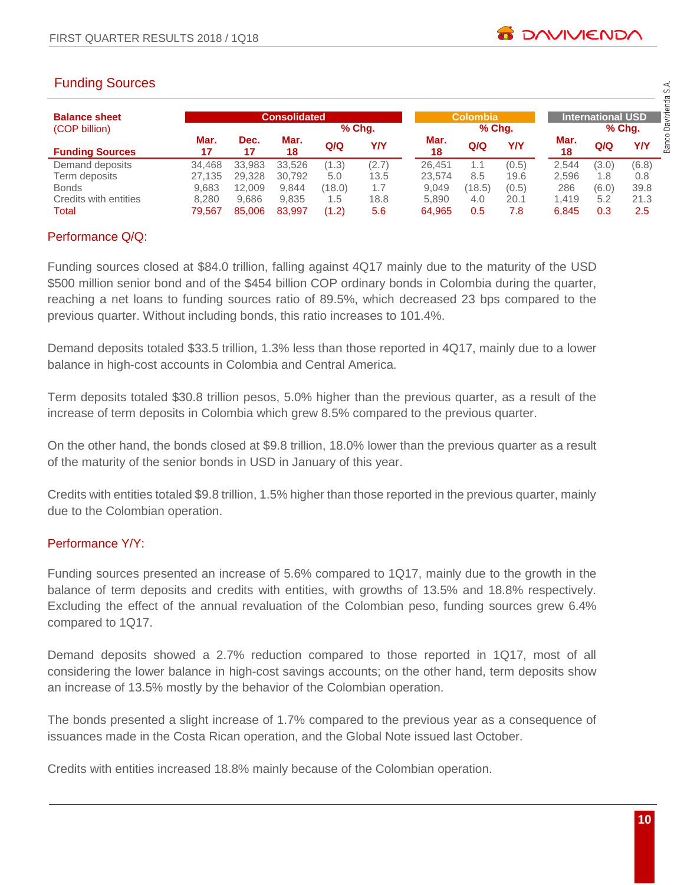| anuniy Obulces                 |                 |                 |                     |              |             |                 |                 |             |                |                          |             |
|--------------------------------|-----------------|-----------------|---------------------|--------------|-------------|-----------------|-----------------|-------------|----------------|--------------------------|-------------|
| <b>Balance sheet</b>           |                 |                 | <b>Consolidated</b> |              |             |                 | <b>Colombia</b> |             |                | <b>International USD</b> |             |
| (COP billion)                  |                 |                 |                     |              | % Chq.      |                 | % Chq.          |             |                |                          | $%$ Chq.    |
| <b>Funding Sources</b>         | Mar.<br>17      | Dec.<br>17      | Mar.<br>18          | Q/Q          | <b>Y/Y</b>  | Mar.<br>18      | Q/Q             | <b>Y/Y</b>  | Mar.<br>18     | Q/Q                      | <b>Y/Y</b>  |
| Demand deposits                | 34,468          | 33,983          | 33,526              | (1.3)        | (2.7)       | 26.451          | 1.1             | (0.5)       | 2.544          | (3.0)                    | (6.8)       |
| Term deposits                  | 27.135          | 29.328          | 30.792              | 5.0          | 13.5        | 23.574          | 8.5             | 19.6        | 2.596          | 1.8                      | 0.8         |
| <b>Bonds</b>                   | 9.683           | 12.009          | 9.844               | (18.0)       | 1.7         | 9.049           | (18.5)          | (0.5)       | 286            | (6.0)                    | 39.8        |
| Credits with entities<br>Total | 8.280<br>79,567 | 9.686<br>85,006 | 9.835<br>83,997     | 1.5<br>(1.2) | 18.8<br>5.6 | 5.890<br>64,965 | 4.0<br>0.5      | 20.1<br>7.8 | 1.419<br>6,845 | 5.2<br>0.3               | 21.3<br>2.5 |

# Funding Sources

#### Performance Q/Q:

Funding sources closed at \$84.0 trillion, falling against 4Q17 mainly due to the maturity of the USD \$500 million senior bond and of the \$454 billion COP ordinary bonds in Colombia during the quarter, reaching a net loans to funding sources ratio of 89.5%, which decreased 23 bps compared to the previous quarter. Without including bonds, this ratio increases to 101.4%.

Demand deposits totaled \$33.5 trillion, 1.3% less than those reported in 4Q17, mainly due to a lower balance in high-cost accounts in Colombia and Central America.

Term deposits totaled \$30.8 trillion pesos, 5.0% higher than the previous quarter, as a result of the increase of term deposits in Colombia which grew 8.5% compared to the previous quarter.

On the other hand, the bonds closed at \$9.8 trillion, 18.0% lower than the previous quarter as a result of the maturity of the senior bonds in USD in January of this year.

Credits with entities totaled \$9.8 trillion, 1.5% higher than those reported in the previous quarter, mainly due to the Colombian operation.

#### Performance Y/Y:

Funding sources presented an increase of 5.6% compared to 1Q17, mainly due to the growth in the balance of term deposits and credits with entities, with growths of 13.5% and 18.8% respectively. Excluding the effect of the annual revaluation of the Colombian peso, funding sources grew 6.4% compared to 1Q17.

Demand deposits showed a 2.7% reduction compared to those reported in 1Q17, most of all considering the lower balance in high-cost savings accounts; on the other hand, term deposits show an increase of 13.5% mostly by the behavior of the Colombian operation.

The bonds presented a slight increase of 1.7% compared to the previous year as a consequence of issuances made in the Costa Rican operation, and the Global Note issued last October.

Credits with entities increased 18.8% mainly because of the Colombian operation.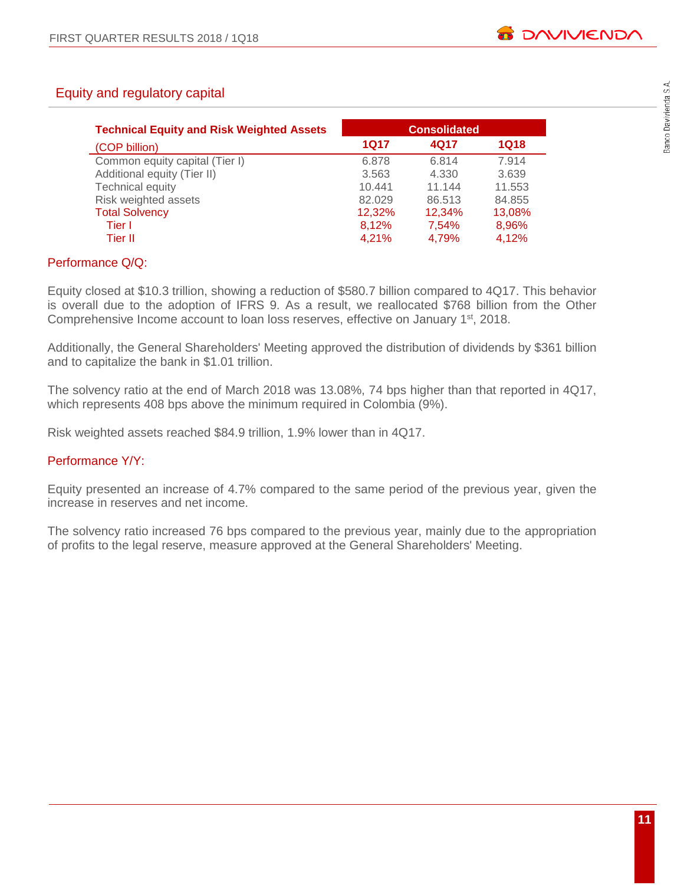## Equity and regulatory capital

| <b>Technical Equity and Risk Weighted Assets</b> | <b>Consolidated</b> |        |        |  |  |  |  |
|--------------------------------------------------|---------------------|--------|--------|--|--|--|--|
| (COP billion)                                    | 1Q17                | 4Q17   | 1Q18   |  |  |  |  |
| Common equity capital (Tier I)                   | 6.878               | 6.814  | 7.914  |  |  |  |  |
| Additional equity (Tier II)                      | 3.563               | 4.330  | 3.639  |  |  |  |  |
| <b>Technical equity</b>                          | 10.441              | 11.144 | 11.553 |  |  |  |  |
| Risk weighted assets                             | 82.029              | 86.513 | 84.855 |  |  |  |  |
| <b>Total Solvency</b>                            | 12,32%              | 12.34% | 13,08% |  |  |  |  |
| Tier I                                           | 8,12%               | 7,54%  | 8,96%  |  |  |  |  |
| Tier II                                          | 4.21%               | 4.79%  | 4,12%  |  |  |  |  |

#### Performance Q/Q:

Equity closed at \$10.3 trillion, showing a reduction of \$580.7 billion compared to 4Q17. This behavior is overall due to the adoption of IFRS 9. As a result, we reallocated \$768 billion from the Other Comprehensive Income account to loan loss reserves, effective on January 1<sup>st</sup>, 2018.

Additionally, the General Shareholders' Meeting approved the distribution of dividends by \$361 billion and to capitalize the bank in \$1.01 trillion.

The solvency ratio at the end of March 2018 was 13.08%, 74 bps higher than that reported in 4Q17, which represents 408 bps above the minimum required in Colombia (9%).

Risk weighted assets reached \$84.9 trillion, 1.9% lower than in 4Q17.

#### Performance Y/Y:

Equity presented an increase of 4.7% compared to the same period of the previous year, given the increase in reserves and net income.

The solvency ratio increased 76 bps compared to the previous year, mainly due to the appropriation of profits to the legal reserve, measure approved at the General Shareholders' Meeting.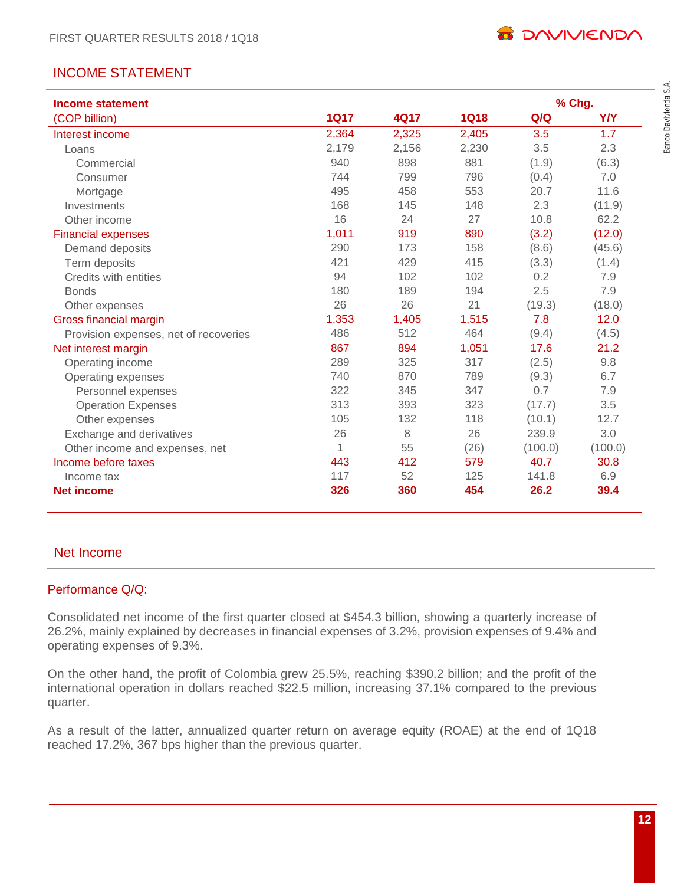#### FIRST QUARTER RESULTS 2018 / 1Q18

# INCOME STATEMENT

| <b>Income statement</b>               |              |       |             |         | % Chg.     |
|---------------------------------------|--------------|-------|-------------|---------|------------|
| (COP billion)                         | <b>1Q17</b>  | 4Q17  | <b>1Q18</b> | Q/Q     | <b>Y/Y</b> |
| Interest income                       | 2,364        | 2,325 | 2,405       | 3.5     | 1.7        |
| Loans                                 | 2,179        | 2,156 | 2,230       | 3.5     | 2.3        |
| Commercial                            | 940          | 898   | 881         | (1.9)   | (6.3)      |
| Consumer                              | 744          | 799   | 796         | (0.4)   | 7.0        |
| Mortgage                              | 495          | 458   | 553         | 20.7    | 11.6       |
| Investments                           | 168          | 145   | 148         | 2.3     | (11.9)     |
| Other income                          | 16           | 24    | 27          | 10.8    | 62.2       |
| <b>Financial expenses</b>             | 1,011        | 919   | 890         | (3.2)   | (12.0)     |
| Demand deposits                       | 290          | 173   | 158         | (8.6)   | (45.6)     |
| Term deposits                         | 421          | 429   | 415         | (3.3)   | (1.4)      |
| Credits with entities                 | 94           | 102   | 102         | 0.2     | 7.9        |
| <b>Bonds</b>                          | 180          | 189   | 194         | 2.5     | 7.9        |
| Other expenses                        | 26           | 26    | 21          | (19.3)  | (18.0)     |
| Gross financial margin                | 1,353        | 1,405 | 1,515       | 7.8     | 12.0       |
| Provision expenses, net of recoveries | 486          | 512   | 464         | (9.4)   | (4.5)      |
| Net interest margin                   | 867          | 894   | 1,051       | 17.6    | 21.2       |
| Operating income                      | 289          | 325   | 317         | (2.5)   | 9.8        |
| Operating expenses                    | 740          | 870   | 789         | (9.3)   | 6.7        |
| Personnel expenses                    | 322          | 345   | 347         | 0.7     | 7.9        |
| <b>Operation Expenses</b>             | 313          | 393   | 323         | (17.7)  | 3.5        |
| Other expenses                        | 105          | 132   | 118         | (10.1)  | 12.7       |
| Exchange and derivatives              | 26           | 8     | 26          | 239.9   | 3.0        |
| Other income and expenses, net        | $\mathbf{1}$ | 55    | (26)        | (100.0) | (100.0)    |
| Income before taxes                   | 443          | 412   | 579         | 40.7    | 30.8       |
| Income tax                            | 117          | 52    | 125         | 141.8   | 6.9        |
| <b>Net income</b>                     | 326          | 360   | 454         | 26.2    | 39.4       |

#### Net Income

#### Performance Q/Q:

Consolidated net income of the first quarter closed at \$454.3 billion, showing a quarterly increase of 26.2%, mainly explained by decreases in financial expenses of 3.2%, provision expenses of 9.4% and operating expenses of 9.3%.

On the other hand, the profit of Colombia grew 25.5%, reaching \$390.2 billion; and the profit of the international operation in dollars reached \$22.5 million, increasing 37.1% compared to the previous quarter.

As a result of the latter, annualized quarter return on average equity (ROAE) at the end of 1Q18 reached 17.2%, 367 bps higher than the previous quarter.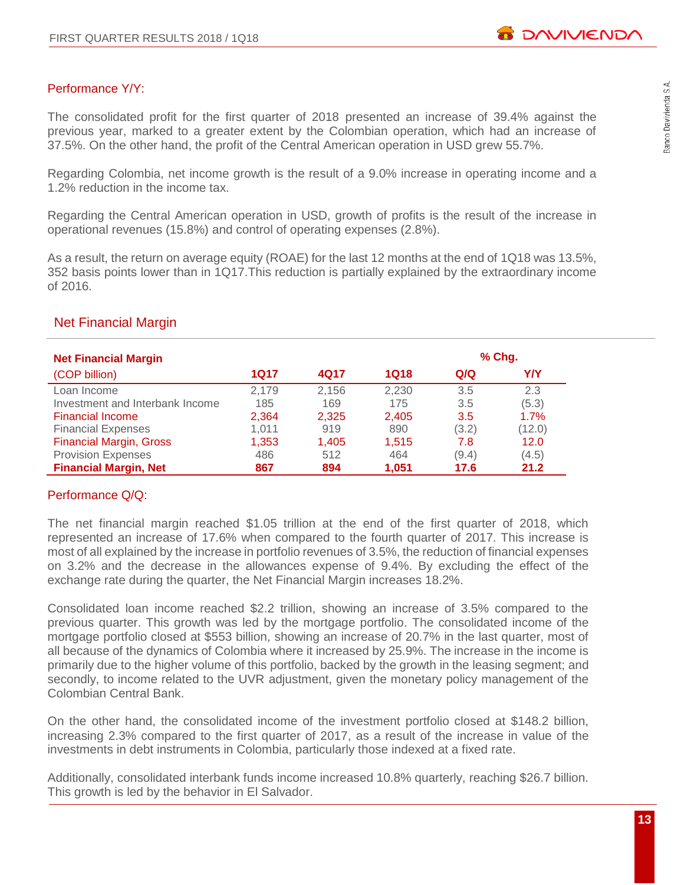#### Performance Y/Y:

The consolidated profit for the first quarter of 2018 presented an increase of 39.4% against the previous year, marked to a greater extent by the Colombian operation, which had an increase of 37.5%. On the other hand, the profit of the Central American operation in USD grew 55.7%.

Regarding Colombia, net income growth is the result of a 9.0% increase in operating income and a 1.2% reduction in the income tax.

Regarding the Central American operation in USD, growth of profits is the result of the increase in operational revenues (15.8%) and control of operating expenses (2.8%).

As a result, the return on average equity (ROAE) for the last 12 months at the end of 1Q18 was 13.5%, 352 basis points lower than in 1Q17.This reduction is partially explained by the extraordinary income of 2016.

| <b>Net Financial Margin</b>     |       |       |       |       | % Chg.         |
|---------------------------------|-------|-------|-------|-------|----------------|
| (COP billion)                   | 1Q17  | 4Q17  | 1Q18  | Q/Q   | Y/Y            |
| Loan Income                     | 2,179 | 2,156 | 2,230 | 3.5   | 2.3            |
| Investment and Interbank Income | 185   | 169   | 175   | 3.5   | (5.3)          |
| <b>Financial Income</b>         | 2,364 | 2,325 | 2,405 | 3.5   | 1.7%           |
| <b>Financial Expenses</b>       | 1.011 | 919   | 890   | (3.2) | (12.0)         |
| <b>Financial Margin, Gross</b>  | 1,353 | 1,405 | 1,515 | 7.8   | 12.0           |
| <b>Provision Expenses</b>       | 486   | 512   | 464   | (9.4) | (4.5)          |
| <b>Financial Margin, Net</b>    | 867   | 894   | 1,051 | 17.6  | $21.2^{\circ}$ |

#### Net Financial Margin

#### Performance Q/Q:

The net financial margin reached \$1.05 trillion at the end of the first quarter of 2018, which represented an increase of 17.6% when compared to the fourth quarter of 2017. This increase is most of all explained by the increase in portfolio revenues of 3.5%, the reduction of financial expenses on 3.2% and the decrease in the allowances expense of 9.4%. By excluding the effect of the exchange rate during the quarter, the Net Financial Margin increases 18.2%.

Consolidated loan income reached \$2.2 trillion, showing an increase of 3.5% compared to the previous quarter. This growth was led by the mortgage portfolio. The consolidated income of the mortgage portfolio closed at \$553 billion, showing an increase of 20.7% in the last quarter, most of all because of the dynamics of Colombia where it increased by 25.9%. The increase in the income is primarily due to the higher volume of this portfolio, backed by the growth in the leasing segment; and secondly, to income related to the UVR adjustment, given the monetary policy management of the Colombian Central Bank.

On the other hand, the consolidated income of the investment portfolio closed at \$148.2 billion, increasing 2.3% compared to the first quarter of 2017, as a result of the increase in value of the investments in debt instruments in Colombia, particularly those indexed at a fixed rate.

Additionally, consolidated interbank funds income increased 10.8% quarterly, reaching \$26.7 billion. This growth is led by the behavior in El Salvador.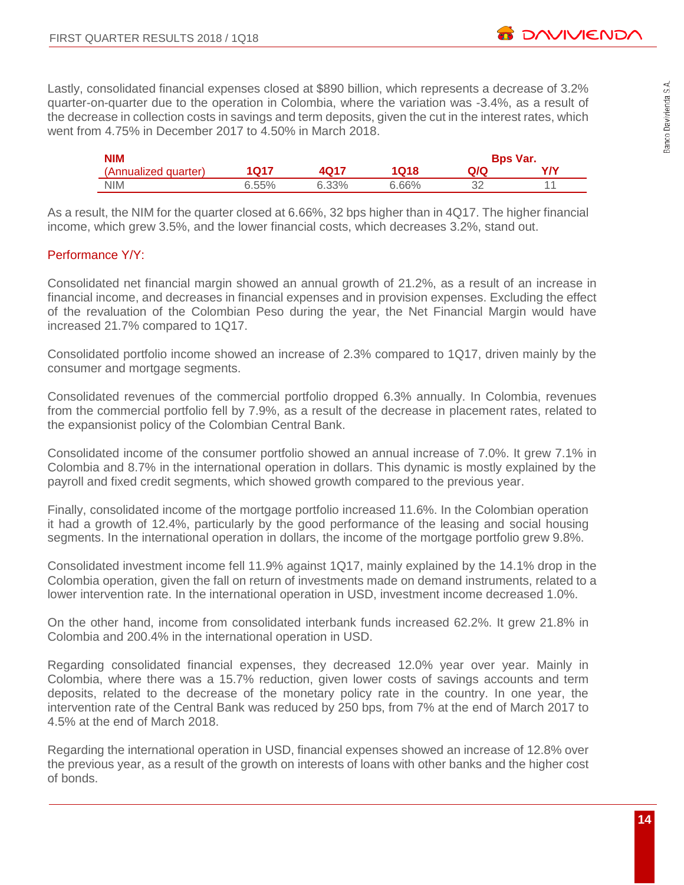Lastly, consolidated financial expenses closed at \$890 billion, which represents a decrease of 3.2% quarter-on-quarter due to the operation in Colombia, where the variation was -3.4%, as a result of the decrease in collection costs in savings and term deposits, given the cut in the interest rates, which went from 4.75% in December 2017 to 4.50% in March 2018.

| NIM                  | <b>Bps Var.</b> |       |       |    |     |
|----------------------|-----------------|-------|-------|----|-----|
| (Annualized quarter) | 1017            | 4017  | 1018  | രശ | Y/Y |
| <b>NIM</b>           | $6.55\%$        | 6.33% | 6.66% |    |     |

As a result, the NIM for the quarter closed at 6.66%, 32 bps higher than in 4Q17. The higher financial income, which grew 3.5%, and the lower financial costs, which decreases 3.2%, stand out.

#### Performance Y/Y:

Consolidated net financial margin showed an annual growth of 21.2%, as a result of an increase in financial income, and decreases in financial expenses and in provision expenses. Excluding the effect of the revaluation of the Colombian Peso during the year, the Net Financial Margin would have increased 21.7% compared to 1Q17.

Consolidated portfolio income showed an increase of 2.3% compared to 1Q17, driven mainly by the consumer and mortgage segments.

Consolidated revenues of the commercial portfolio dropped 6.3% annually. In Colombia, revenues from the commercial portfolio fell by 7.9%, as a result of the decrease in placement rates, related to the expansionist policy of the Colombian Central Bank.

Consolidated income of the consumer portfolio showed an annual increase of 7.0%. It grew 7.1% in Colombia and 8.7% in the international operation in dollars. This dynamic is mostly explained by the payroll and fixed credit segments, which showed growth compared to the previous year.

Finally, consolidated income of the mortgage portfolio increased 11.6%. In the Colombian operation it had a growth of 12.4%, particularly by the good performance of the leasing and social housing segments. In the international operation in dollars, the income of the mortgage portfolio grew 9.8%.

Consolidated investment income fell 11.9% against 1Q17, mainly explained by the 14.1% drop in the Colombia operation, given the fall on return of investments made on demand instruments, related to a lower intervention rate. In the international operation in USD, investment income decreased 1.0%.

On the other hand, income from consolidated interbank funds increased 62.2%. It grew 21.8% in Colombia and 200.4% in the international operation in USD.

Regarding consolidated financial expenses, they decreased 12.0% year over year. Mainly in Colombia, where there was a 15.7% reduction, given lower costs of savings accounts and term deposits, related to the decrease of the monetary policy rate in the country. In one year, the intervention rate of the Central Bank was reduced by 250 bps, from 7% at the end of March 2017 to 4.5% at the end of March 2018.

Regarding the international operation in USD, financial expenses showed an increase of 12.8% over the previous year, as a result of the growth on interests of loans with other banks and the higher cost of bonds.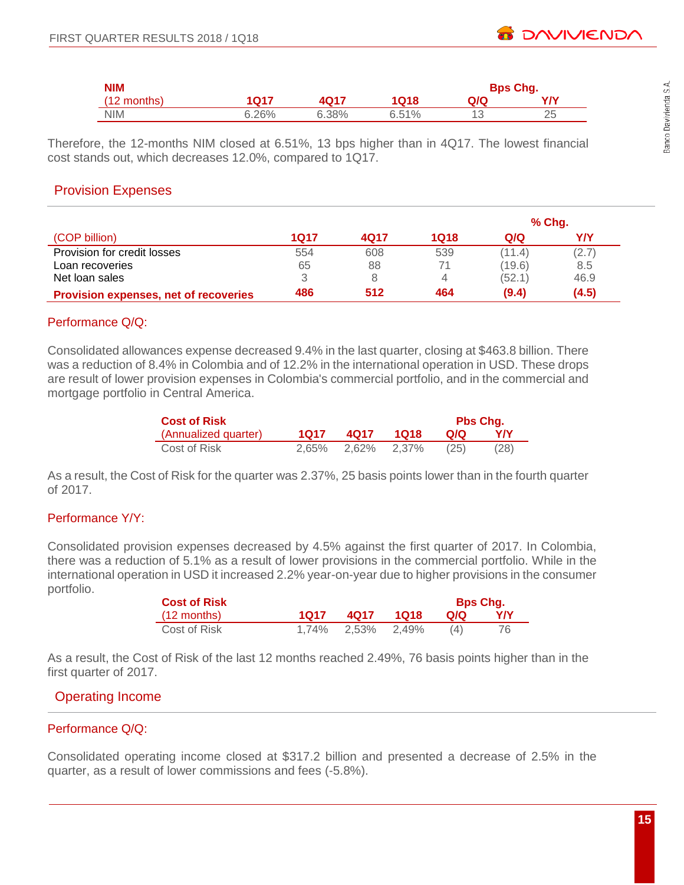| <b>NIM</b>    | <b>Bps Chg.</b> |       |       |     |     |
|---------------|-----------------|-------|-------|-----|-----|
| $(12$ months) | <b>Q17</b>      | 4017  | 1Q18  | Q/Q | Y/Y |
| <b>NIM</b>    | 6.26%           | 6.38% | 6.51% |     |     |

Therefore, the 12-months NIM closed at 6.51%, 13 bps higher than in 4Q17. The lowest financial cost stands out, which decreases 12.0%, compared to 1Q17.

#### Provision Expenses

|                                              |      |      | $%$ Chg. |        |       |
|----------------------------------------------|------|------|----------|--------|-------|
| (COP billion)                                | 1Q17 | 4017 | 1018     | Q/Q    | Y/Y   |
| Provision for credit losses                  | 554  | 608  | 539      | (11.4) | (2.7) |
| Loan recoveries                              | 65   | 88   |          | (19.6) | 8.5   |
| Net loan sales                               |      |      |          | (52.1) | 46.9  |
| <b>Provision expenses, net of recoveries</b> | 486  | 512  | 464      | (9.4)  | (4.5) |

#### Performance Q/Q:

Consolidated allowances expense decreased 9.4% in the last quarter, closing at \$463.8 billion. There was a reduction of 8.4% in Colombia and of 12.2% in the international operation in USD. These drops are result of lower provision expenses in Colombia's commercial portfolio, and in the commercial and mortgage portfolio in Central America.

| <b>Cost of Risk</b>  |      |                   |      |      | Pbs Chg. |
|----------------------|------|-------------------|------|------|----------|
| (Annualized quarter) | 1017 | 4017              | 1018 | O/O  | YN       |
| Cost of Risk         |      | 2,65% 2,62% 2,37% |      | (25) | (28)     |

As a result, the Cost of Risk for the quarter was 2.37%, 25 basis points lower than in the fourth quarter of 2017.

#### Performance Y/Y:

Consolidated provision expenses decreased by 4.5% against the first quarter of 2017. In Colombia, there was a reduction of 5.1% as a result of lower provisions in the commercial portfolio. While in the international operation in USD it increased 2.2% year-on-year due to higher provisions in the consumer portfolio.

| <b>Cost of Risk</b>   |       |             |      |     | <b>Bps Chq.</b> |
|-----------------------|-------|-------------|------|-----|-----------------|
| $(12 \text{ months})$ | 1017  | 4017        | 1018 | Q/Q | YN              |
| Cost of Risk          | 1.74% | 2.53% 2.49% |      | (4) | 76              |

As a result, the Cost of Risk of the last 12 months reached 2.49%, 76 basis points higher than in the first quarter of 2017.

#### Operating Income

#### Performance Q/Q:

Consolidated operating income closed at \$317.2 billion and presented a decrease of 2.5% in the quarter, as a result of lower commissions and fees (-5.8%).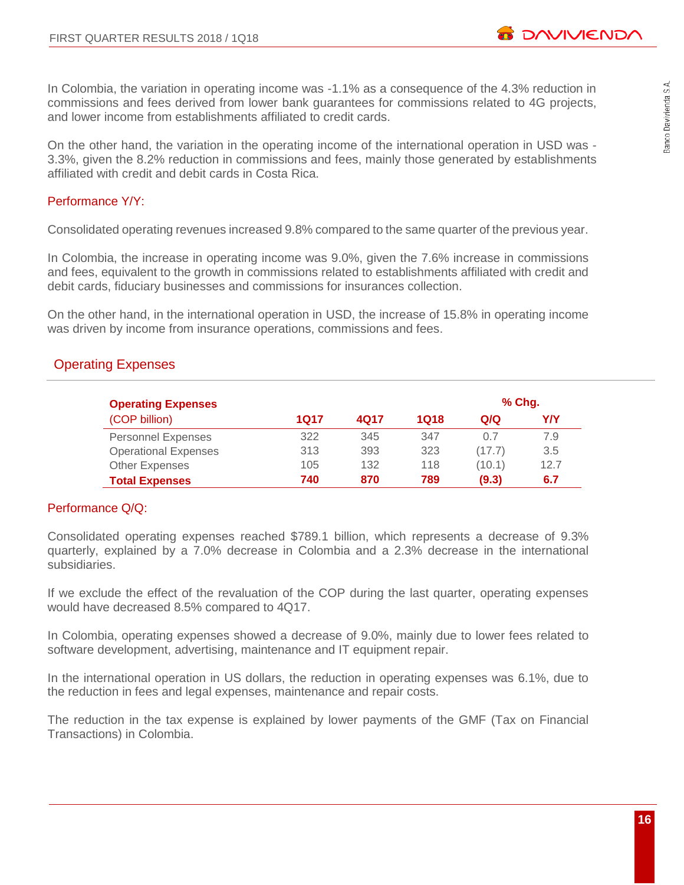In Colombia, the variation in operating income was -1.1% as a consequence of the 4.3% reduction in commissions and fees derived from lower bank guarantees for commissions related to 4G projects, and lower income from establishments affiliated to credit cards.

On the other hand, the variation in the operating income of the international operation in USD was - 3.3%, given the 8.2% reduction in commissions and fees, mainly those generated by establishments affiliated with credit and debit cards in Costa Rica.

#### Performance Y/Y:

Consolidated operating revenues increased 9.8% compared to the same quarter of the previous year.

In Colombia, the increase in operating income was 9.0%, given the 7.6% increase in commissions and fees, equivalent to the growth in commissions related to establishments affiliated with credit and debit cards, fiduciary businesses and commissions for insurances collection.

On the other hand, in the international operation in USD, the increase of 15.8% in operating income was driven by income from insurance operations, commissions and fees.

#### Operating Expenses

| <b>Operating Expenses</b>   |      | $%$ Chg. |      |        |      |
|-----------------------------|------|----------|------|--------|------|
| (COP billion)               | 1Q17 | 4Q17     | 1018 | Q/Q    | Y/Y  |
| <b>Personnel Expenses</b>   | 322  | 345      | 347  | 0.7    | 7.9  |
| <b>Operational Expenses</b> | 313  | 393      | 323  | (17.7) | 3.5  |
| <b>Other Expenses</b>       | 105  | 132      | 118  | (10.1) | 12.7 |
| <b>Total Expenses</b>       | 740  | 870      | 789  | (9.3)  | 6.7  |

#### Performance Q/Q:

Consolidated operating expenses reached \$789.1 billion, which represents a decrease of 9.3% quarterly, explained by a 7.0% decrease in Colombia and a 2.3% decrease in the international subsidiaries.

If we exclude the effect of the revaluation of the COP during the last quarter, operating expenses would have decreased 8.5% compared to 4Q17.

In Colombia, operating expenses showed a decrease of 9.0%, mainly due to lower fees related to software development, advertising, maintenance and IT equipment repair.

In the international operation in US dollars, the reduction in operating expenses was 6.1%, due to the reduction in fees and legal expenses, maintenance and repair costs.

The reduction in the tax expense is explained by lower payments of the GMF (Tax on Financial Transactions) in Colombia.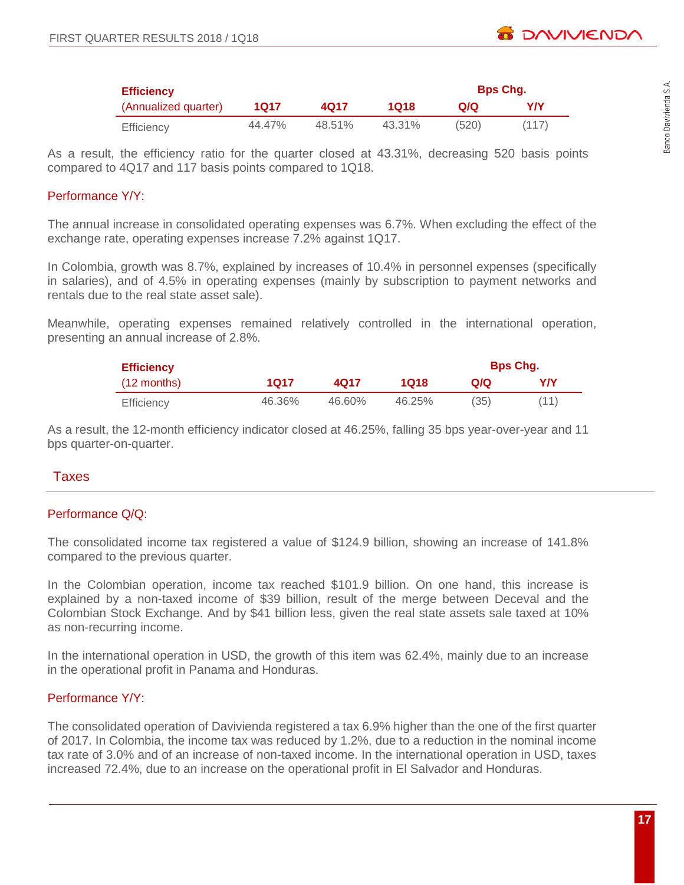| <b>Efficiency</b>    |        |        |        |       | <b>Bps Chq.</b> |
|----------------------|--------|--------|--------|-------|-----------------|
| (Annualized quarter) | 1017   | 4017   | 1018   | രശ    | Y/Y             |
| Efficiency           | 44.47% | 48.51% | 43.31% | (520) | (117)           |

As a result, the efficiency ratio for the quarter closed at 43.31%, decreasing 520 basis points compared to 4Q17 and 117 basis points compared to 1Q18.

#### Performance Y/Y:

The annual increase in consolidated operating expenses was 6.7%. When excluding the effect of the exchange rate, operating expenses increase 7.2% against 1Q17.

In Colombia, growth was 8.7%, explained by increases of 10.4% in personnel expenses (specifically in salaries), and of 4.5% in operating expenses (mainly by subscription to payment networks and rentals due to the real state asset sale).

Meanwhile, operating expenses remained relatively controlled in the international operation, presenting an annual increase of 2.8%.

| <b>Efficiency</b>     |        |        |        |      | <b>Bps Chg.</b> |
|-----------------------|--------|--------|--------|------|-----------------|
| $(12 \text{ months})$ | 1017   | 4017   | 1018   | QIQ  | YN              |
| Efficiency            | 46.36% | 46.60% | 46.25% | (35) | (11)            |

As a result, the 12-month efficiency indicator closed at 46.25%, falling 35 bps year-over-year and 11 bps quarter-on-quarter.

#### **Taxes**

#### Performance Q/Q:

The consolidated income tax registered a value of \$124.9 billion, showing an increase of 141.8% compared to the previous quarter.

In the Colombian operation, income tax reached \$101.9 billion. On one hand, this increase is explained by a non-taxed income of \$39 billion, result of the merge between Deceval and the Colombian Stock Exchange. And by \$41 billion less, given the real state assets sale taxed at 10% as non-recurring income.

In the international operation in USD, the growth of this item was 62.4%, mainly due to an increase in the operational profit in Panama and Honduras.

#### Performance Y/Y:

The consolidated operation of Davivienda registered a tax 6.9% higher than the one of the first quarter of 2017. In Colombia, the income tax was reduced by 1.2%, due to a reduction in the nominal income tax rate of 3.0% and of an increase of non-taxed income. In the international operation in USD, taxes increased 72.4%, due to an increase on the operational profit in El Salvador and Honduras.